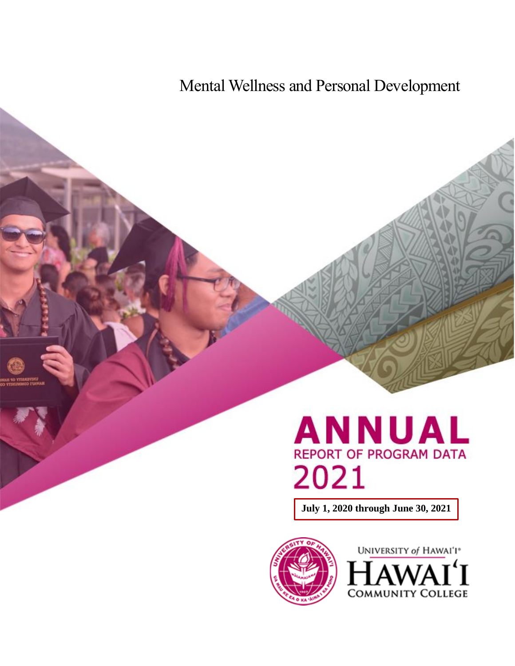Mental Wellness and Personal Development

# **ANNUAL**<br>REPORT OF PROGRAM DATA 2021

**July 1, 2020 through June 30, 2021**



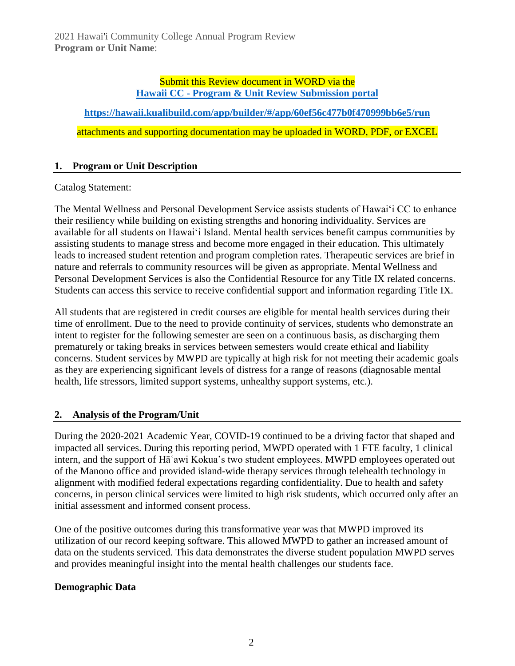#### Submit this Review document in WORD via the **Hawaii CC - [Program & Unit Review Submission portal](https://hawaii.kualibuild.com/app/builder/#/app/60ef56c477b0f470999bb6e5/run)**

**<https://hawaii.kualibuild.com/app/builder/#/app/60ef56c477b0f470999bb6e5/run>** attachments and supporting documentation may be uploaded in WORD, PDF, or EXCEL

### **1. Program or Unit Description**

#### Catalog Statement:

The Mental Wellness and Personal Development Service assists students of Hawai'i CC to enhance their resiliency while building on existing strengths and honoring individuality. Services are available for all students on Hawai'i Island. Mental health services benefit campus communities by assisting students to manage stress and become more engaged in their education. This ultimately leads to increased student retention and program completion rates. Therapeutic services are brief in nature and referrals to community resources will be given as appropriate. Mental Wellness and Personal Development Services is also the Confidential Resource for any Title IX related concerns. Students can access this service to receive confidential support and information regarding Title IX.

All students that are registered in credit courses are eligible for mental health services during their time of enrollment. Due to the need to provide continuity of services, students who demonstrate an intent to register for the following semester are seen on a continuous basis, as discharging them prematurely or taking breaks in services between semesters would create ethical and liability concerns. Student services by MWPD are typically at high risk for not meeting their academic goals as they are experiencing significant levels of distress for a range of reasons (diagnosable mental health, life stressors, limited support systems, unhealthy support systems, etc.).

# **2. Analysis of the Program/Unit**

During the 2020-2021 Academic Year, COVID-19 continued to be a driving factor that shaped and impacted all services. During this reporting period, MWPD operated with 1 FTE faculty, 1 clinical intern, and the support of Hāʿawi Kokua's two student employees. MWPD employees operated out of the Manono office and provided island-wide therapy services through telehealth technology in alignment with modified federal expectations regarding confidentiality. Due to health and safety concerns, in person clinical services were limited to high risk students, which occurred only after an initial assessment and informed consent process.

One of the positive outcomes during this transformative year was that MWPD improved its utilization of our record keeping software. This allowed MWPD to gather an increased amount of data on the students serviced. This data demonstrates the diverse student population MWPD serves and provides meaningful insight into the mental health challenges our students face.

#### **Demographic Data**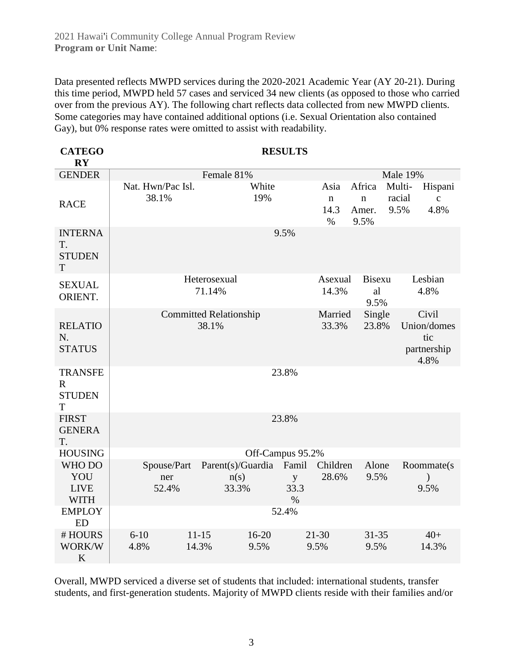Data presented reflects MWPD services during the 2020-2021 Academic Year (AY 20-21). During this time period, MWPD held 57 cases and serviced 34 new clients (as opposed to those who carried over from the previous AY). The following chart reflects data collected from new MWPD clients. Some categories may have contained additional options (i.e. Sexual Orientation also contained Gay), but 0% response rates were omitted to assist with readability.

| <b>CATEGO</b><br>$\overline{\mathbf{R}}\mathbf{Y}$  |                             |                                         | <b>RESULTS</b>                                  |                                        |                                                             |  |  |
|-----------------------------------------------------|-----------------------------|-----------------------------------------|-------------------------------------------------|----------------------------------------|-------------------------------------------------------------|--|--|
| <b>GENDER</b>                                       |                             | Female 81%                              |                                                 | <b>Male 19%</b>                        |                                                             |  |  |
| <b>RACE</b>                                         | Nat. Hwn/Pac Isl.<br>38.1%  | White<br>19%                            | Asia<br>$\mathbf n$<br>14.3<br>%                | Africa<br>$\mathbf n$<br>Amer.<br>9.5% | Multi-<br>Hispani<br>racial<br>$\mathbf{C}$<br>4.8%<br>9.5% |  |  |
| <b>INTERNA</b><br>T.<br><b>STUDEN</b><br>T          |                             |                                         | 9.5%                                            |                                        |                                                             |  |  |
| <b>SEXUAL</b><br>ORIENT.                            |                             | Heterosexual<br>71.14%                  | Asexual<br>14.3%                                | Bisexu<br>al<br>9.5%                   | Lesbian<br>4.8%                                             |  |  |
| <b>RELATIO</b><br>N.<br><b>STATUS</b>               |                             | <b>Committed Relationship</b><br>38.1%  | Married<br>33.3%                                | Single<br>23.8%                        | Civil<br>Union/domes<br>tic<br>partnership<br>4.8%          |  |  |
| <b>TRANSFE</b><br>$\mathbf R$<br><b>STUDEN</b><br>T |                             |                                         | 23.8%                                           |                                        |                                                             |  |  |
| <b>FIRST</b><br><b>GENERA</b><br>T.                 |                             |                                         | 23.8%                                           |                                        |                                                             |  |  |
| <b>HOUSING</b>                                      |                             |                                         | Off-Campus 95.2%                                |                                        |                                                             |  |  |
| WHO DO<br>YOU<br><b>LIVE</b><br><b>WITH</b>         | Spouse/Part<br>ner<br>52.4% | Parent(s)/Guardia<br>n(s)<br>33.3%      | Famil<br>Children<br>28.6%<br>y<br>33.3<br>$\%$ | Alone<br>9.5%                          | Roommate(s)<br>9.5%                                         |  |  |
| <b>EMPLOY</b><br><b>ED</b>                          |                             |                                         | 52.4%                                           |                                        |                                                             |  |  |
| #HOURS<br>WORK/W<br>K                               | $6 - 10$<br>4.8%            | $11 - 15$<br>$16 - 20$<br>14.3%<br>9.5% | $21 - 30$<br>9.5%                               | $31 - 35$<br>9.5%                      | $40+$<br>14.3%                                              |  |  |

Overall, MWPD serviced a diverse set of students that included: international students, transfer students, and first-generation students. Majority of MWPD clients reside with their families and/or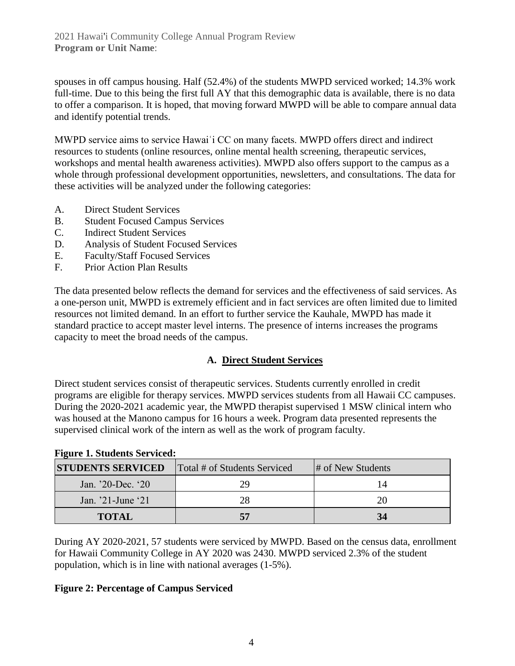spouses in off campus housing. Half (52.4%) of the students MWPD serviced worked; 14.3% work full-time. Due to this being the first full AY that this demographic data is available, there is no data to offer a comparison. It is hoped, that moving forward MWPD will be able to compare annual data and identify potential trends.

MWPD service aims to service Hawaiʿi CC on many facets. MWPD offers direct and indirect resources to students (online resources, online mental health screening, therapeutic services, workshops and mental health awareness activities). MWPD also offers support to the campus as a whole through professional development opportunities, newsletters, and consultations. The data for these activities will be analyzed under the following categories:

- A. Direct Student Services
- B. Student Focused Campus Services
- C. Indirect Student Services
- D. Analysis of Student Focused Services
- E. Faculty/Staff Focused Services
- F. Prior Action Plan Results

The data presented below reflects the demand for services and the effectiveness of said services. As a one-person unit, MWPD is extremely efficient and in fact services are often limited due to limited resources not limited demand. In an effort to further service the Kauhale, MWPD has made it standard practice to accept master level interns. The presence of interns increases the programs capacity to meet the broad needs of the campus.

# **A. Direct Student Services**

Direct student services consist of therapeutic services. Students currently enrolled in credit programs are eligible for therapy services. MWPD services students from all Hawaii CC campuses. During the 2020-2021 academic year, the MWPD therapist supervised 1 MSW clinical intern who was housed at the Manono campus for 16 hours a week. Program data presented represents the supervised clinical work of the intern as well as the work of program faculty.

| Treate 1. Diagence Del viceu. |                              |                   |  |  |  |  |  |
|-------------------------------|------------------------------|-------------------|--|--|--|--|--|
| <b>STUDENTS SERVICED</b>      | Total # of Students Serviced | # of New Students |  |  |  |  |  |
| Jan. $20$ -Dec. $20$          | 79                           | 14                |  |  |  |  |  |
| Jan. $21$ -June $21$          | 28                           | 20                |  |  |  |  |  |
| <b>TOTAL</b>                  | 57                           | 34                |  |  |  |  |  |

# **Figure 1. Students Serviced:**

During AY 2020-2021, 57 students were serviced by MWPD. Based on the census data, enrollment for Hawaii Community College in AY 2020 was 2430. MWPD serviced 2.3% of the student population, which is in line with national averages (1-5%).

#### **Figure 2: Percentage of Campus Serviced**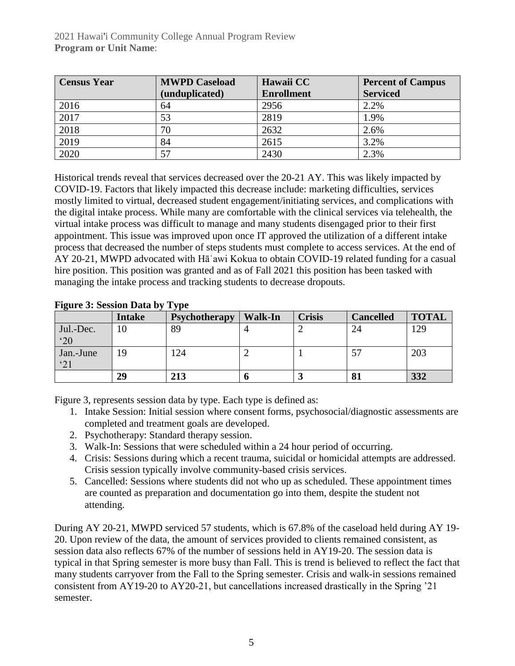2021 Hawai'i Community College Annual Program Review **Program or Unit Name**:

| <b>Census Year</b> | <b>MWPD Caseload</b> | Hawaii CC         | <b>Percent of Campus</b> |  |
|--------------------|----------------------|-------------------|--------------------------|--|
|                    | (unduplicated)       | <b>Enrollment</b> | <b>Serviced</b>          |  |
| 2016               | 64                   | 2956              | 2.2%                     |  |
| 2017               | 53                   | 2819              | 1.9%                     |  |
| 2018               | 70                   | 2632              | 2.6%                     |  |
| 2019               | 84                   | 2615              | 3.2%                     |  |
| 2020               | 57                   | 2430              | 2.3%                     |  |

Historical trends reveal that services decreased over the 20-21 AY. This was likely impacted by COVID-19. Factors that likely impacted this decrease include: marketing difficulties, services mostly limited to virtual, decreased student engagement/initiating services, and complications with the digital intake process. While many are comfortable with the clinical services via telehealth, the virtual intake process was difficult to manage and many students disengaged prior to their first appointment. This issue was improved upon once IT approved the utilization of a different intake process that decreased the number of steps students must complete to access services. At the end of AY 20-21, MWPD advocated with Hāʿawi Kokua to obtain COVID-19 related funding for a casual hire position. This position was granted and as of Fall 2021 this position has been tasked with managing the intake process and tracking students to decrease dropouts.

|                           | <b>Intake</b> | <b>Psychotherapy</b> | <b>Walk-In</b> | <b>Crisis</b> | <b>Cancelled</b> | <b>TOTAL</b> |
|---------------------------|---------------|----------------------|----------------|---------------|------------------|--------------|
| Jul.-Dec.<br>$^{\circ}20$ | 10            | 89                   |                |               | 24               | 129          |
| Jan.-June<br>'21          | 19            | .24                  |                |               |                  | 203          |
|                           | 29            | 213                  |                |               | O J              | 332          |

#### **Figure 3: Session Data by Type**

Figure 3, represents session data by type. Each type is defined as:

- 1. Intake Session: Initial session where consent forms, psychosocial/diagnostic assessments are completed and treatment goals are developed.
- 2. Psychotherapy: Standard therapy session.
- 3. Walk-In: Sessions that were scheduled within a 24 hour period of occurring.
- 4. Crisis: Sessions during which a recent trauma, suicidal or homicidal attempts are addressed. Crisis session typically involve community-based crisis services.
- 5. Cancelled: Sessions where students did not who up as scheduled. These appointment times are counted as preparation and documentation go into them, despite the student not attending.

During AY 20-21, MWPD serviced 57 students, which is 67.8% of the caseload held during AY 19- 20. Upon review of the data, the amount of services provided to clients remained consistent, as session data also reflects 67% of the number of sessions held in AY19-20. The session data is typical in that Spring semester is more busy than Fall. This is trend is believed to reflect the fact that many students carryover from the Fall to the Spring semester. Crisis and walk-in sessions remained consistent from AY19-20 to AY20-21, but cancellations increased drastically in the Spring '21 semester.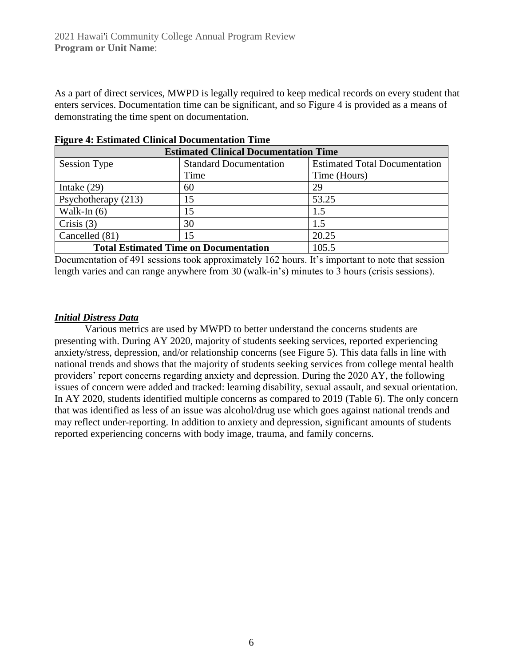As a part of direct services, MWPD is legally required to keep medical records on every student that enters services. Documentation time can be significant, and so Figure 4 is provided as a means of demonstrating the time spent on documentation.

| 0<br><b>Estimated Clinical Documentation Time</b> |                               |                                      |  |  |  |
|---------------------------------------------------|-------------------------------|--------------------------------------|--|--|--|
| <b>Session Type</b>                               | <b>Standard Documentation</b> | <b>Estimated Total Documentation</b> |  |  |  |
|                                                   | Time                          | Time (Hours)                         |  |  |  |
| Intake $(29)$                                     | 60                            | 29                                   |  |  |  |
| Psychotherapy (213)                               | 15                            | 53.25                                |  |  |  |
| Walk-In $(6)$                                     | 15                            | 1.5                                  |  |  |  |
| Crisis $(3)$                                      | 30                            | 1.5                                  |  |  |  |
| Cancelled (81)<br>15                              |                               | 20.25                                |  |  |  |
| <b>Total Estimated Time on Documentation</b>      | 105.5                         |                                      |  |  |  |

Documentation of 491 sessions took approximately 162 hours. It's important to note that session length varies and can range anywhere from 30 (walk-in's) minutes to 3 hours (crisis sessions).

#### *Initial Distress Data*

Various metrics are used by MWPD to better understand the concerns students are presenting with. During AY 2020, majority of students seeking services, reported experiencing anxiety/stress, depression, and/or relationship concerns (see Figure 5). This data falls in line with national trends and shows that the majority of students seeking services from college mental health providers' report concerns regarding anxiety and depression. During the 2020 AY, the following issues of concern were added and tracked: learning disability, sexual assault, and sexual orientation. In AY 2020, students identified multiple concerns as compared to 2019 (Table 6). The only concern that was identified as less of an issue was alcohol/drug use which goes against national trends and may reflect under-reporting. In addition to anxiety and depression, significant amounts of students reported experiencing concerns with body image, trauma, and family concerns.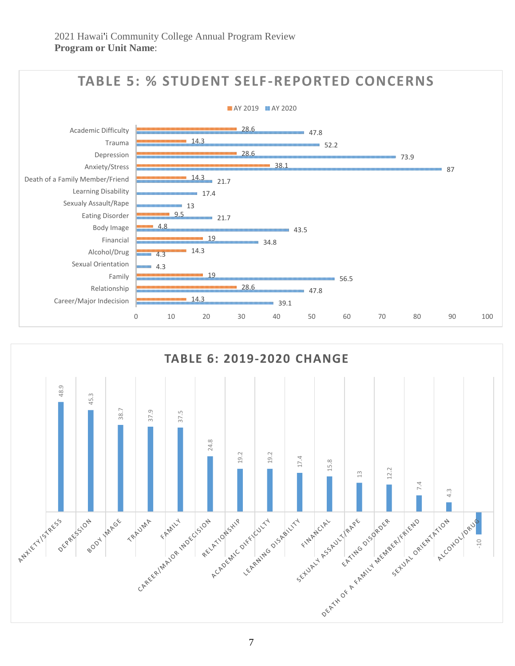

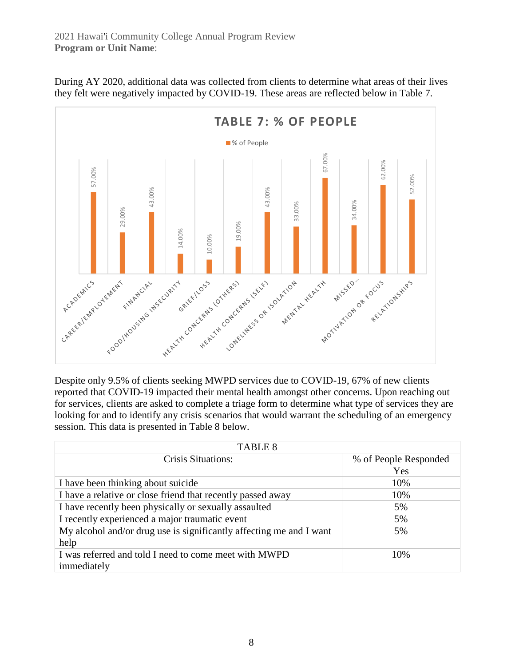

During AY 2020, additional data was collected from clients to determine what areas of their lives they felt were negatively impacted by COVID-19. These areas are reflected below in Table 7.

Despite only 9.5% of clients seeking MWPD services due to COVID-19, 67% of new clients reported that COVID-19 impacted their mental health amongst other concerns. Upon reaching out for services, clients are asked to complete a triage form to determine what type of services they are looking for and to identify any crisis scenarios that would warrant the scheduling of an emergency session. This data is presented in Table 8 below.

| <b>TABLE 8</b>                                                      |                       |  |  |  |  |
|---------------------------------------------------------------------|-----------------------|--|--|--|--|
| <b>Crisis Situations:</b>                                           | % of People Responded |  |  |  |  |
|                                                                     | Yes                   |  |  |  |  |
| I have been thinking about suicide                                  | 10%                   |  |  |  |  |
| I have a relative or close friend that recently passed away         | 10%                   |  |  |  |  |
| I have recently been physically or sexually assaulted               | 5%                    |  |  |  |  |
| I recently experienced a major traumatic event                      | 5%                    |  |  |  |  |
| My alcohol and/or drug use is significantly affecting me and I want | 5%                    |  |  |  |  |
| help                                                                |                       |  |  |  |  |
| I was referred and told I need to come meet with MWPD               | 10%                   |  |  |  |  |
| immediately                                                         |                       |  |  |  |  |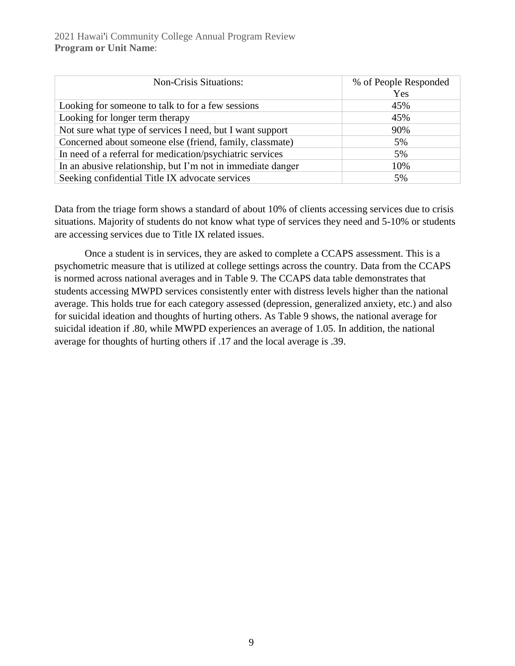| <b>Non-Crisis Situations:</b>                               | % of People Responded<br>Yes |
|-------------------------------------------------------------|------------------------------|
| Looking for someone to talk to for a few sessions           | 45%                          |
| Looking for longer term therapy                             | 45%                          |
| Not sure what type of services I need, but I want support   | 90%                          |
| Concerned about someone else (friend, family, classmate)    | 5%                           |
| In need of a referral for medication/psychiatric services   | 5%                           |
| In an abusive relationship, but I'm not in immediate danger | 10%                          |
| Seeking confidential Title IX advocate services             | 5%                           |

Data from the triage form shows a standard of about 10% of clients accessing services due to crisis situations. Majority of students do not know what type of services they need and 5-10% or students are accessing services due to Title IX related issues.

Once a student is in services, they are asked to complete a CCAPS assessment. This is a psychometric measure that is utilized at college settings across the country. Data from the CCAPS is normed across national averages and in Table 9. The CCAPS data table demonstrates that students accessing MWPD services consistently enter with distress levels higher than the national average. This holds true for each category assessed (depression, generalized anxiety, etc.) and also for suicidal ideation and thoughts of hurting others. As Table 9 shows, the national average for suicidal ideation if .80, while MWPD experiences an average of 1.05. In addition, the national average for thoughts of hurting others if .17 and the local average is .39.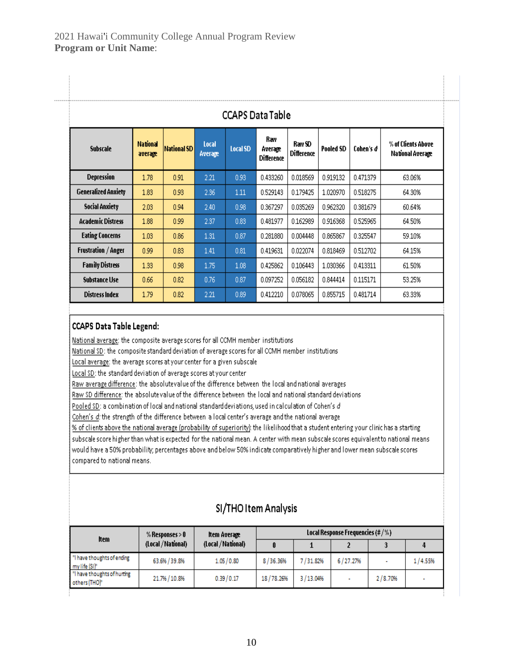| <b>CCAPS Data Table</b>    |                            |                    |                  |                 |                                     |                             |                  |           |                                        |
|----------------------------|----------------------------|--------------------|------------------|-----------------|-------------------------------------|-----------------------------|------------------|-----------|----------------------------------------|
| <b>Subscale</b>            | <b>National</b><br>average | <b>National SD</b> | Local<br>Average | <b>Local SD</b> | Rav<br>Average<br><b>Difference</b> | Raw SD<br><b>Difference</b> | <b>Pooled SD</b> | Cohen's d | % of Clients Above<br>National Average |
| <b>Depression</b>          | 1.78                       | 0.91               | 2.21             | 0.93            | 0.433260                            | 0.018569                    | 0.919132         | 0.471379  | 63.06%                                 |
| <b>Generalized Anxiety</b> | 1.83                       | 0.93               | 2.36             | 1.11            | 0.529143                            | 0.179425                    | 1.020970         | 0.518275  | 64.30%                                 |
| <b>Social Anxiety</b>      | 2.03                       | 0.94               | 2.40             | 0.98            | 0.367297                            | 0.035269                    | 0.962320         | 0.381679  | 60.64%                                 |
| <b>Academic Distress</b>   | 1.88                       | 0.99               | 2.37             | 0.83            | 0.481977                            | 0.162989                    | 0.916368         | 0.525965  | 64.50%                                 |
| <b>Eating Concerns</b>     | 1.03                       | 0.86               | 1.31             | 0.87            | 0.281880                            | 0.004448                    | 0.865867         | 0.325547  | 59.10%                                 |
| <b>Frustration / Anger</b> | 0.99                       | 0.83               | 1.41             | 0.81            | 0.419631                            | 0.022074                    | 0.818469         | 0.512702  | 64.15%                                 |
| <b>Family Distress</b>     | 1.33                       | 0.98               | 1.75             | 1.08            | 0.425862                            | 0.106443                    | 1.030366         | 0.413311  | 61.50%                                 |
| <b>Substance Use</b>       | 0.66                       | 0.82               | 0.76             | 0.87            | 0.097252                            | 0.056182                    | 0.844414         | 0.115171  | 53.25%                                 |
| Distress Index             | 1.79                       | 0.82               | 2.21             | 0.89            | 0.412210                            | 0.078065                    | 0.855715         | 0.481714  | 63.33%                                 |

#### **CCAPS Data Table Legend:**

 $\overline{\phantom{a}}$ 

National average: the composite average scores for all CCMH member institutions

National SD: the composite standard deviation of average scores for all CCMH member institutions

Local average: the average scores at your center for a given subscale

Local SD: the standard deviation of average scores at your center

Raw average difference: the absolutevalue of the difference between the local and national averages

Raw SD difference: the absolutevalue of the difference between the local and national standard deviations

Pooled SD: a combination of local and national standard deviations, used in calculation of Cohen's d

Cohen's d: the strength of the difference between a local center's average and the national average

% of clients above the national average (probability of superiority): the likelihood that a student entering your clinic has a starting subscale score higher than what is expected for the national mean. A center with mean subscale scores equivalent to national means would have a 50% probability; percentages above and below 50% indicate comparatively higher and lower mean subscale scores compared to national means.

# SI/THO Item Analysis

| Item                                         | $%$ Responses $> 0$ | ltem Average       | Local Response Frequencies (#/%) |          |          |         |         |
|----------------------------------------------|---------------------|--------------------|----------------------------------|----------|----------|---------|---------|
|                                              | (Local / National)  | (Local / National) |                                  |          |          |         |         |
| "I have thoughts of ending<br>my life (SI)"  | 63.6% / 39.8%       | 1.05/0.80          | 8/36.36%                         | 7/31.82% | 6/27.27% |         | 1/4.55% |
| "I have thoughts of hurting<br>others (THO)* | 21.7% / 10.8%       | 0.39/0.17          | 18/78.26%                        | 3/13.04% |          | 2/8.70% |         |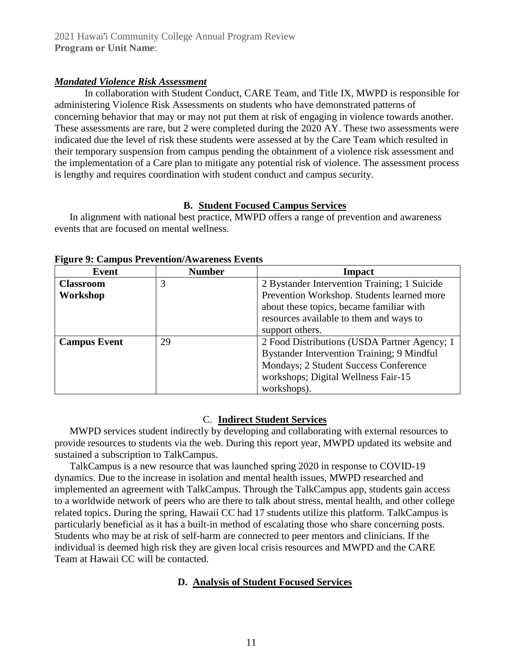#### *Mandated Violence Risk Assessment*

In collaboration with Student Conduct, CARE Team, and Title IX, MWPD is responsible for administering Violence Risk Assessments on students who have demonstrated patterns of concerning behavior that may or may not put them at risk of engaging in violence towards another. These assessments are rare, but 2 were completed during the 2020 AY. These two assessments were indicated due the level of risk these students were assessed at by the Care Team which resulted in their temporary suspension from campus pending the obtainment of a violence risk assessment and the implementation of a Care plan to mitigate any potential risk of violence. The assessment process is lengthy and requires coordination with student conduct and campus security.

#### **B. Student Focused Campus Services**

In alignment with national best practice, MWPD offers a range of prevention and awareness events that are focused on mental wellness.

| Event               | <b>Number</b> | Impact                                       |
|---------------------|---------------|----------------------------------------------|
| <b>Classroom</b>    | 3             | 2 Bystander Intervention Training; 1 Suicide |
| Workshop            |               | Prevention Workshop. Students learned more   |
|                     |               | about these topics, became familiar with     |
|                     |               | resources available to them and ways to      |
|                     |               | support others.                              |
| <b>Campus Event</b> | 29            | 2 Food Distributions (USDA Partner Agency; 1 |
|                     |               | Bystander Intervention Training; 9 Mindful   |
|                     |               | Mondays; 2 Student Success Conference        |
|                     |               | workshops; Digital Wellness Fair-15          |
|                     |               | workshops).                                  |

**Figure 9: Campus Prevention/Awareness Events**

#### C. **Indirect Student Services**

MWPD services student indirectly by developing and collaborating with external resources to provide resources to students via the web. During this report year, MWPD updated its website and sustained a subscription to TalkCampus.

TalkCampus is a new resource that was launched spring 2020 in response to COVID-19 dynamics. Due to the increase in isolation and mental health issues, MWPD researched and implemented an agreement with TalkCampus. Through the TalkCampus app, students gain access to a worldwide network of peers who are there to talk about stress, mental health, and other college related topics. During the spring, Hawaii CC had 17 students utilize this platform. TalkCampus is particularly beneficial as it has a built-in method of escalating those who share concerning posts. Students who may be at risk of self-harm are connected to peer mentors and clinicians. If the individual is deemed high risk they are given local crisis resources and MWPD and the CARE Team at Hawaii CC will be contacted.

# **D. Analysis of Student Focused Services**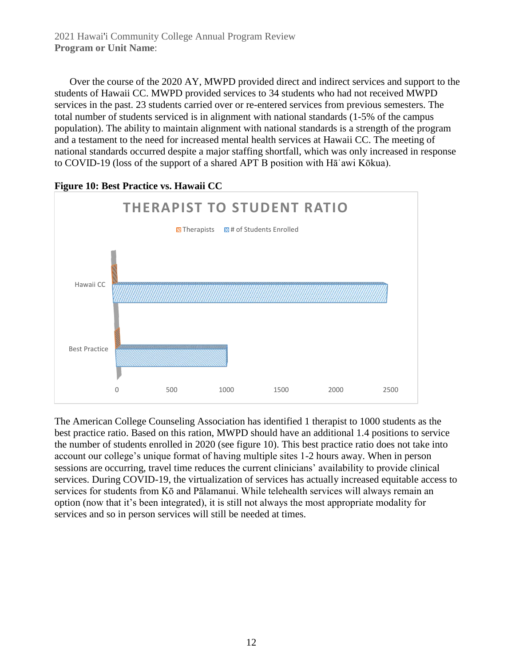2021 Hawai'i Community College Annual Program Review **Program or Unit Name**:

Over the course of the 2020 AY, MWPD provided direct and indirect services and support to the students of Hawaii CC. MWPD provided services to 34 students who had not received MWPD services in the past. 23 students carried over or re-entered services from previous semesters. The total number of students serviced is in alignment with national standards (1-5% of the campus population). The ability to maintain alignment with national standards is a strength of the program and a testament to the need for increased mental health services at Hawaii CC. The meeting of national standards occurred despite a major staffing shortfall, which was only increased in response to COVID-19 (loss of the support of a shared APT B position with Hāʿawi Kōkua).



**Figure 10: Best Practice vs. Hawaii CC** 

The American College Counseling Association has identified 1 therapist to 1000 students as the best practice ratio. Based on this ration, MWPD should have an additional 1.4 positions to service the number of students enrolled in 2020 (see figure 10). This best practice ratio does not take into account our college's unique format of having multiple sites 1-2 hours away. When in person sessions are occurring, travel time reduces the current clinicians' availability to provide clinical services. During COVID-19, the virtualization of services has actually increased equitable access to services for students from Kō and Pālamanui. While telehealth services will always remain an option (now that it's been integrated), it is still not always the most appropriate modality for services and so in person services will still be needed at times.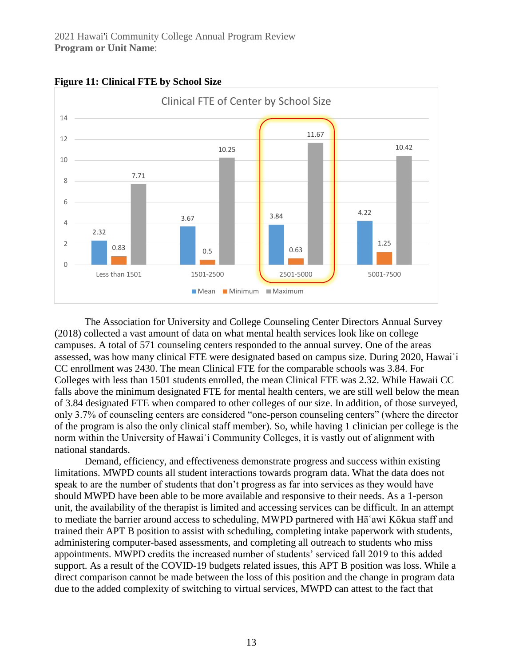

#### **Figure 11: Clinical FTE by School Size**

The Association for University and College Counseling Center Directors Annual Survey (2018) collected a vast amount of data on what mental health services look like on college campuses. A total of 571 counseling centers responded to the annual survey. One of the areas assessed, was how many clinical FTE were designated based on campus size. During 2020, Hawaiʿi CC enrollment was 2430. The mean Clinical FTE for the comparable schools was 3.84. For Colleges with less than 1501 students enrolled, the mean Clinical FTE was 2.32. While Hawaii CC falls above the minimum designated FTE for mental health centers, we are still well below the mean of 3.84 designated FTE when compared to other colleges of our size. In addition, of those surveyed, only 3.7% of counseling centers are considered "one-person counseling centers" (where the director of the program is also the only clinical staff member). So, while having 1 clinician per college is the norm within the University of Hawaiʿi Community Colleges, it is vastly out of alignment with national standards.

Demand, efficiency, and effectiveness demonstrate progress and success within existing limitations. MWPD counts all student interactions towards program data. What the data does not speak to are the number of students that don't progress as far into services as they would have should MWPD have been able to be more available and responsive to their needs. As a 1-person unit, the availability of the therapist is limited and accessing services can be difficult. In an attempt to mediate the barrier around access to scheduling, MWPD partnered with Hāʿawi Kōkua staff and trained their APT B position to assist with scheduling, completing intake paperwork with students, administering computer-based assessments, and completing all outreach to students who miss appointments. MWPD credits the increased number of students' serviced fall 2019 to this added support. As a result of the COVID-19 budgets related issues, this APT B position was loss. While a direct comparison cannot be made between the loss of this position and the change in program data due to the added complexity of switching to virtual services, MWPD can attest to the fact that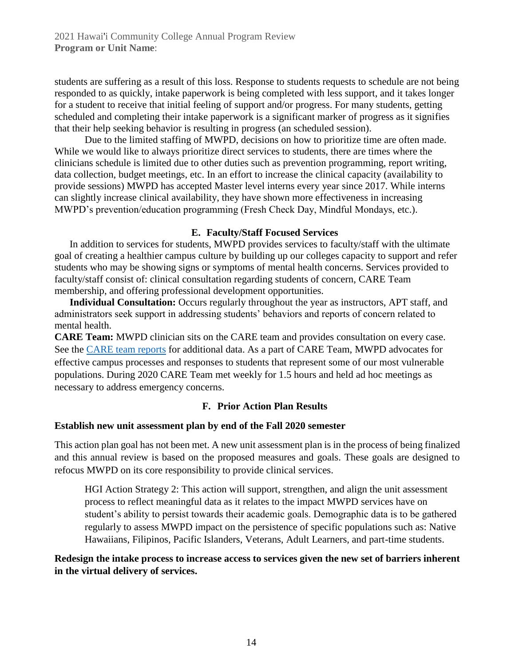students are suffering as a result of this loss. Response to students requests to schedule are not being responded to as quickly, intake paperwork is being completed with less support, and it takes longer for a student to receive that initial feeling of support and/or progress. For many students, getting scheduled and completing their intake paperwork is a significant marker of progress as it signifies that their help seeking behavior is resulting in progress (an scheduled session).

Due to the limited staffing of MWPD, decisions on how to prioritize time are often made. While we would like to always prioritize direct services to students, there are times where the clinicians schedule is limited due to other duties such as prevention programming, report writing, data collection, budget meetings, etc. In an effort to increase the clinical capacity (availability to provide sessions) MWPD has accepted Master level interns every year since 2017. While interns can slightly increase clinical availability, they have shown more effectiveness in increasing MWPD's prevention/education programming (Fresh Check Day, Mindful Mondays, etc.).

#### **E. Faculty/Staff Focused Services**

In addition to services for students, MWPD provides services to faculty/staff with the ultimate goal of creating a healthier campus culture by building up our colleges capacity to support and refer students who may be showing signs or symptoms of mental health concerns. Services provided to faculty/staff consist of: clinical consultation regarding students of concern, CARE Team membership, and offering professional development opportunities.

**Individual Consultation:** Occurs regularly throughout the year as instructors, APT staff, and administrators seek support in addressing students' behaviors and reports of concern related to mental health.

**CARE Team:** MWPD clinician sits on the CARE team and provides consultation on every case. See the [CARE team reports](https://hawaii.hawaii.edu/careteam) for additional data. As a part of CARE Team, MWPD advocates for effective campus processes and responses to students that represent some of our most vulnerable populations. During 2020 CARE Team met weekly for 1.5 hours and held ad hoc meetings as necessary to address emergency concerns.

#### **F. Prior Action Plan Results**

#### **Establish new unit assessment plan by end of the Fall 2020 semester**

This action plan goal has not been met. A new unit assessment plan is in the process of being finalized and this annual review is based on the proposed measures and goals. These goals are designed to refocus MWPD on its core responsibility to provide clinical services.

HGI Action Strategy 2: This action will support, strengthen, and align the unit assessment process to reflect meaningful data as it relates to the impact MWPD services have on student's ability to persist towards their academic goals. Demographic data is to be gathered regularly to assess MWPD impact on the persistence of specific populations such as: Native Hawaiians, Filipinos, Pacific Islanders, Veterans, Adult Learners, and part-time students.

**Redesign the intake process to increase access to services given the new set of barriers inherent in the virtual delivery of services.**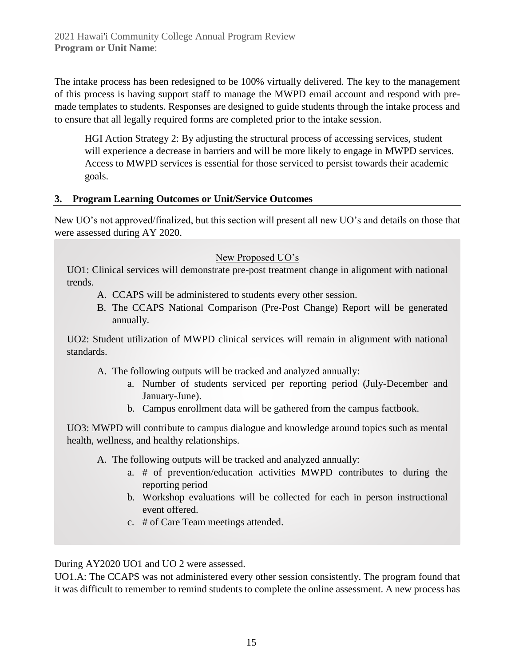The intake process has been redesigned to be 100% virtually delivered. The key to the management of this process is having support staff to manage the MWPD email account and respond with premade templates to students. Responses are designed to guide students through the intake process and to ensure that all legally required forms are completed prior to the intake session.

HGI Action Strategy 2: By adjusting the structural process of accessing services, student will experience a decrease in barriers and will be more likely to engage in MWPD services. Access to MWPD services is essential for those serviced to persist towards their academic goals.

#### **3. Program Learning Outcomes or Unit/Service Outcomes**

New UO's not approved/finalized, but this section will present all new UO's and details on those that were assessed during AY 2020.

#### New Proposed UO's

UO1: Clinical services will demonstrate pre-post treatment change in alignment with national trends.

- A. CCAPS will be administered to students every other session.
- B. The CCAPS National Comparison (Pre-Post Change) Report will be generated annually.

UO2: Student utilization of MWPD clinical services will remain in alignment with national standards.

- A. The following outputs will be tracked and analyzed annually:
	- a. Number of students serviced per reporting period (July-December and January-June).
	- b. Campus enrollment data will be gathered from the campus factbook.

UO3: MWPD will contribute to campus dialogue and knowledge around topics such as mental health, wellness, and healthy relationships.

- A. The following outputs will be tracked and analyzed annually:
	- a. # of prevention/education activities MWPD contributes to during the reporting period
	- b. Workshop evaluations will be collected for each in person instructional event offered.
	- c. # of Care Team meetings attended.

During AY2020 UO1 and UO 2 were assessed.

UO1.A: The CCAPS was not administered every other session consistently. The program found that it was difficult to remember to remind students to complete the online assessment. A new process has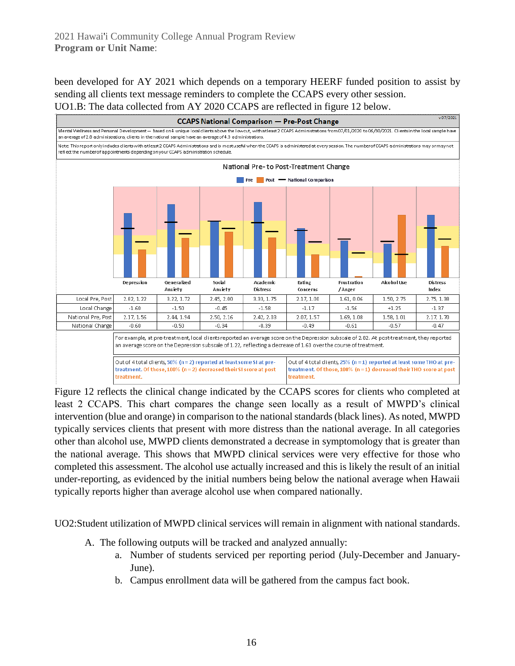been developed for AY 2021 which depends on a temporary HEERF funded position to assist by sending all clients text message reminders to complete the CCAPS every other session. UO1.B: The data collected from AY 2020 CCAPS are reflected in figure 12 below.



Figure 12 reflects the clinical change indicated by the CCAPS scores for clients who completed at least 2 CCAPS. This chart compares the change seen locally as a result of MWPD's clinical intervention (blue and orange) in comparison to the national standards (black lines). As noted, MWPD typically services clients that present with more distress than the national average. In all categories other than alcohol use, MWPD clients demonstrated a decrease in symptomology that is greater than the national average. This shows that MWPD clinical services were very effective for those who completed this assessment. The alcohol use actually increased and this is likely the result of an initial under-reporting, as evidenced by the initial numbers being below the national average when Hawaii typically reports higher than average alcohol use when compared nationally.

UO2:Student utilization of MWPD clinical services will remain in alignment with national standards.

- A. The following outputs will be tracked and analyzed annually:
	- a. Number of students serviced per reporting period (July-December and January-June).
	- b. Campus enrollment data will be gathered from the campus fact book.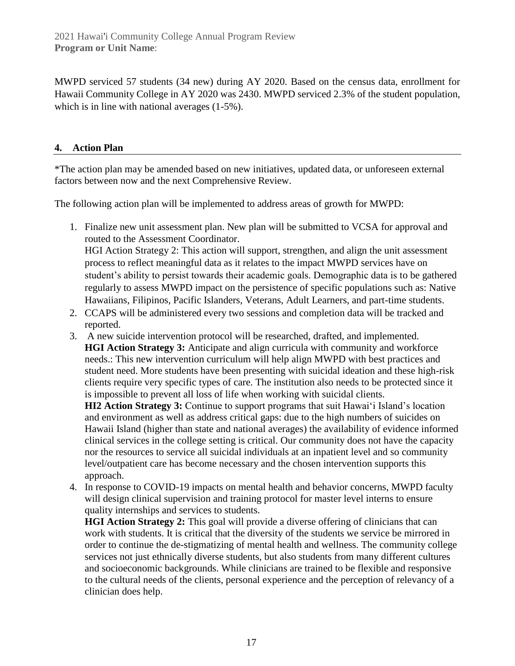MWPD serviced 57 students (34 new) during AY 2020. Based on the census data, enrollment for Hawaii Community College in AY 2020 was 2430. MWPD serviced 2.3% of the student population, which is in line with national averages (1-5%).

#### **4. Action Plan**

\*The action plan may be amended based on new initiatives, updated data, or unforeseen external factors between now and the next Comprehensive Review.

The following action plan will be implemented to address areas of growth for MWPD:

- 1. Finalize new unit assessment plan. New plan will be submitted to VCSA for approval and routed to the Assessment Coordinator. HGI Action Strategy 2: This action will support, strengthen, and align the unit assessment process to reflect meaningful data as it relates to the impact MWPD services have on student's ability to persist towards their academic goals. Demographic data is to be gathered regularly to assess MWPD impact on the persistence of specific populations such as: Native Hawaiians, Filipinos, Pacific Islanders, Veterans, Adult Learners, and part-time students.
- 2. CCAPS will be administered every two sessions and completion data will be tracked and reported.
- 3. A new suicide intervention protocol will be researched, drafted, and implemented. **HGI Action Strategy 3:** Anticipate and align curricula with community and workforce needs.: This new intervention curriculum will help align MWPD with best practices and student need. More students have been presenting with suicidal ideation and these high-risk clients require very specific types of care. The institution also needs to be protected since it is impossible to prevent all loss of life when working with suicidal clients.

**HI2 Action Strategy 3:** Continue to support programs that suit Hawai'i Island's location and environment as well as address critical gaps: due to the high numbers of suicides on Hawaii Island (higher than state and national averages) the availability of evidence informed clinical services in the college setting is critical. Our community does not have the capacity nor the resources to service all suicidal individuals at an inpatient level and so community level/outpatient care has become necessary and the chosen intervention supports this approach.

4. In response to COVID-19 impacts on mental health and behavior concerns, MWPD faculty will design clinical supervision and training protocol for master level interns to ensure quality internships and services to students.

**HGI Action Strategy 2:** This goal will provide a diverse offering of clinicians that can work with students. It is critical that the diversity of the students we service be mirrored in order to continue the de-stigmatizing of mental health and wellness. The community college services not just ethnically diverse students, but also students from many different cultures and socioeconomic backgrounds. While clinicians are trained to be flexible and responsive to the cultural needs of the clients, personal experience and the perception of relevancy of a clinician does help.